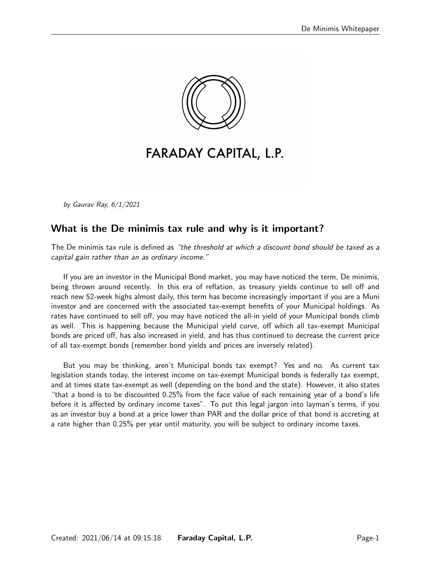

# FARADAY CAPITAL, L.P.

by Gaurav Ray, 6/1/2021

### What is the De minimis tax rule and why is it important?

The De minimis tax rule is defined as "the threshold at which a discount bond should be taxed as a capital gain rather than an as ordinary income."

If you are an investor in the Municipal Bond market, you may have noticed the term, De minimis, being thrown around recently. In this era of reflation, as treasury yields continue to sell off and reach new 52-week highs almost daily, this term has become increasingly important if you are a Muni investor and are concerned with the associated tax-exempt benefits of your Municipal holdings. As rates have continued to sell off, you may have noticed the all-in yield of your Municipal bonds climb as well. This is happening because the Municipal yield curve, off which all tax-exempt Municipal bonds are priced off, has also increased in yield, and has thus continued to decrease the current price of all tax-exempt bonds (remember bond yields and prices are inversely related).

But you may be thinking, aren't Municipal bonds tax exempt? Yes and no. As current tax legislation stands today, the interest income on tax-exempt Municipal bonds is federally tax exempt, and at times state tax-exempt as well (depending on the bond and the state). However, it also states "that a bond is to be discounted 0.25% from the face value of each remaining year of a bond's life before it is affected by ordinary income taxes". To put this legal jargon into layman's terms, if you as an investor buy a bond at a price lower than PAR and the dollar price of that bond is accreting at a rate higher than 0.25% per year until maturity, you will be subject to ordinary income taxes.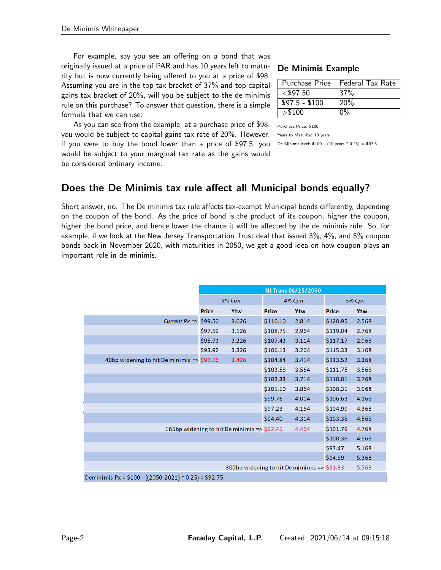For example, say you see an offering on a bond that was originally issued at a price of PAR and has 10 years left to maturity but is now currently being offered to you at a price of \$98. Assuming you are in the top tax bracket of 37% and top capital gains tax bracket of 20%, will you be subject to the de minimis rule on this purchase? To answer that question, there is a simple formula that we can use:

As you can see from the example, at a purchase price of \$98, you would be subject to capital gains tax rate of 20%. However, if you were to buy the bond lower than a price of \$97.5, you would be subject to your marginal tax rate as the gains would be considered ordinary income.

#### De Minimis Example

| <b>Purchase Price</b> | <b>Federal Tax Rate</b> |
|-----------------------|-------------------------|
| $<$ \$97.50           | 37%                     |
| $$97.5 - $100$        | 20%                     |
| > \$100               |                         |

Purchase Price: \$100

Years to Maturity: 10 years

De Minimis level:  $$100 - (10 \text{ years} * 0.25) = $97.5$ 

## Does the De Minimis tax rule affect all Municipal bonds equally?

Short answer, no. The De minimis tax rule affects tax-exempt Municipal bonds differently, depending on the coupon of the bond. As the price of bond is the product of its coupon, higher the coupon, higher the bond price, and hence lower the chance it will be affected by the de minimis rule. So, for example, if we look at the New Jersey Transportation Trust deal that issued 3%, 4%, and 5% coupon bonds back in November 2020, with maturities in 2050, we get a good idea on how coupon plays an important role in de minimis.

|                                                       | NJ Trans 06/15/2050                         |       |          |       |               |       |  |  |  |
|-------------------------------------------------------|---------------------------------------------|-------|----------|-------|---------------|-------|--|--|--|
|                                                       | 3% Cpn                                      |       | 4% Cpn   |       | <b>5% Cpn</b> |       |  |  |  |
|                                                       | <b>Price</b>                                | Ytw   | Price    | Ytw   | <b>Price</b>  | Ytw   |  |  |  |
| Current $Px \Rightarrow$                              | \$99.50                                     | 3.026 | \$110.10 | 2.814 | \$120.95      | 2.568 |  |  |  |
|                                                       | \$97.59                                     | 3.126 | \$108.75 | 2.964 | \$119.04      | 2.768 |  |  |  |
|                                                       | \$95.73                                     | 3.226 | \$107.43 | 3.114 | \$117.17      | 2.968 |  |  |  |
|                                                       | \$93.92                                     | 3.326 | \$106.13 | 3.264 | \$115.33      | 3.168 |  |  |  |
| 40bp widening to hit De minimis $\Rightarrow$ \$92.16 |                                             | 3.426 | \$104.84 | 3.414 | \$113.52      | 3.368 |  |  |  |
|                                                       |                                             |       | \$103.58 | 3.564 | \$111.75      | 3.568 |  |  |  |
|                                                       |                                             |       | \$102.33 | 3.714 | \$110.01      | 3.768 |  |  |  |
|                                                       |                                             |       | \$101.10 | 3.864 | \$108.31      | 3.968 |  |  |  |
|                                                       |                                             |       | \$99.76  | 4.014 | \$106.63      | 4.168 |  |  |  |
|                                                       |                                             |       | \$97.23  | 4.164 | \$104.99      | 4.368 |  |  |  |
|                                                       |                                             |       | \$94.40  | 4.314 | \$103.38      | 4.568 |  |  |  |
|                                                       | 165bp widening to hit De minimis => \$92.45 |       |          | 4.464 | \$101.79      | 4.768 |  |  |  |
|                                                       |                                             |       |          |       | \$100.38      | 4.968 |  |  |  |
|                                                       |                                             |       |          |       | \$97.47       | 5.168 |  |  |  |
|                                                       |                                             |       |          |       | \$94.59       | 5.368 |  |  |  |
|                                                       | 300bp widening to hit De mimimis => \$91.83 | 5.568 |          |       |               |       |  |  |  |
| Deminimis Px = $$100 - ((2050-2021) * 0.25) = $92.75$ |                                             |       |          |       |               |       |  |  |  |